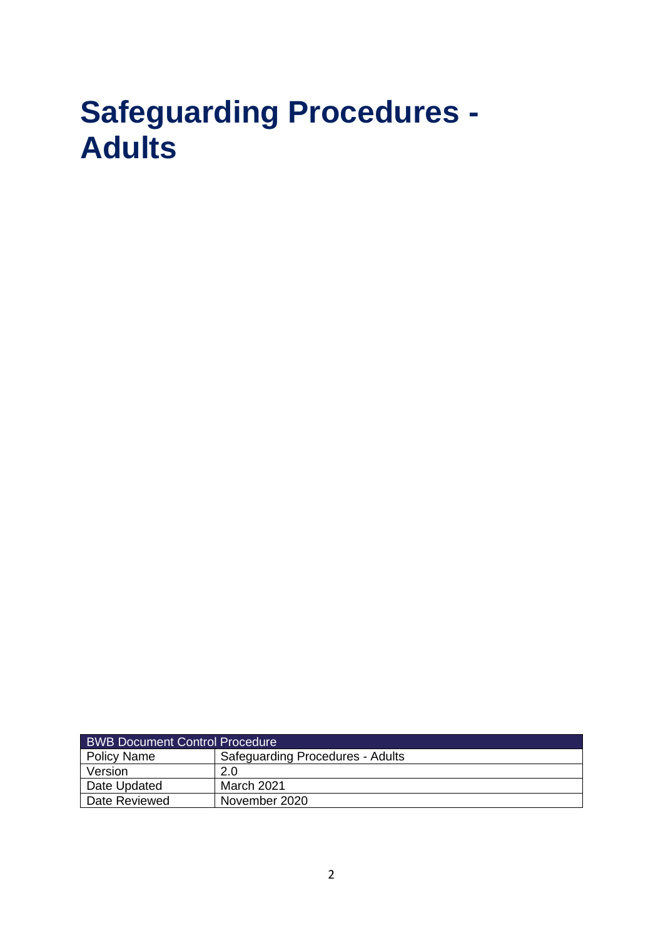# **Safeguarding Procedures - Adults**

| <b>BWB Document Control Procedure</b> |                                         |  |
|---------------------------------------|-----------------------------------------|--|
| Policy Name                           | <b>Safeguarding Procedures - Adults</b> |  |
| Version                               | 2.0                                     |  |
| Date Updated                          | March 2021                              |  |
| Date Reviewed                         | November 2020                           |  |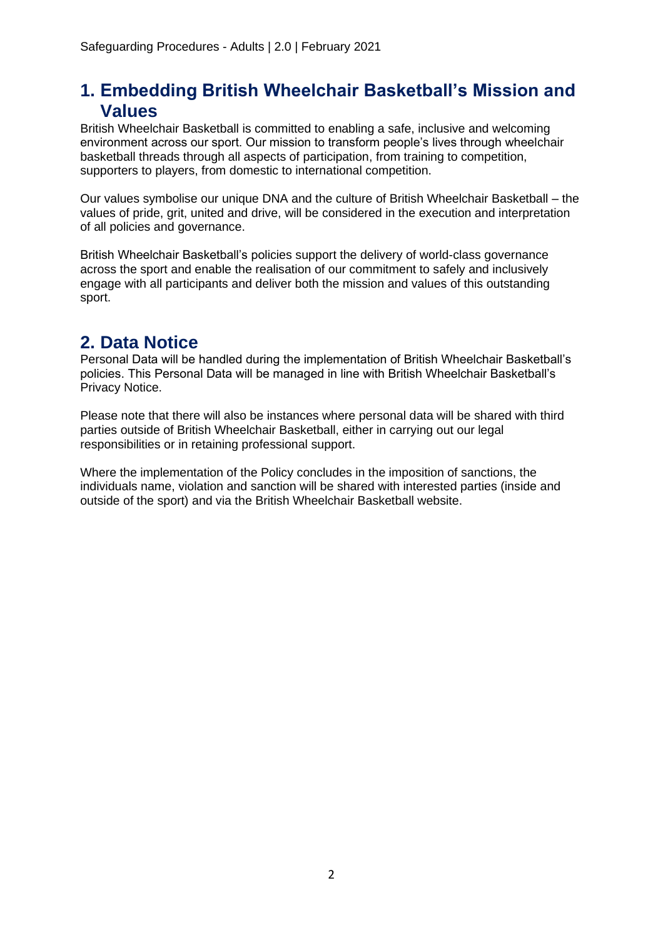### **1. Embedding British Wheelchair Basketball's Mission and Values**

British Wheelchair Basketball is committed to enabling a safe, inclusive and welcoming environment across our sport. Our mission to transform people's lives through wheelchair basketball threads through all aspects of participation, from training to competition, supporters to players, from domestic to international competition.

Our values symbolise our unique DNA and the culture of British Wheelchair Basketball – the values of pride, grit, united and drive, will be considered in the execution and interpretation of all policies and governance.

British Wheelchair Basketball's policies support the delivery of world-class governance across the sport and enable the realisation of our commitment to safely and inclusively engage with all participants and deliver both the mission and values of this outstanding sport.

# **2. Data Notice**

Personal Data will be handled during the implementation of British Wheelchair Basketball's policies. This Personal Data will be managed in line with British Wheelchair Basketball's Privacy Notice.

Please note that there will also be instances where personal data will be shared with third parties outside of British Wheelchair Basketball, either in carrying out our legal responsibilities or in retaining professional support.

Where the implementation of the Policy concludes in the imposition of sanctions, the individuals name, violation and sanction will be shared with interested parties (inside and outside of the sport) and via the British Wheelchair Basketball website.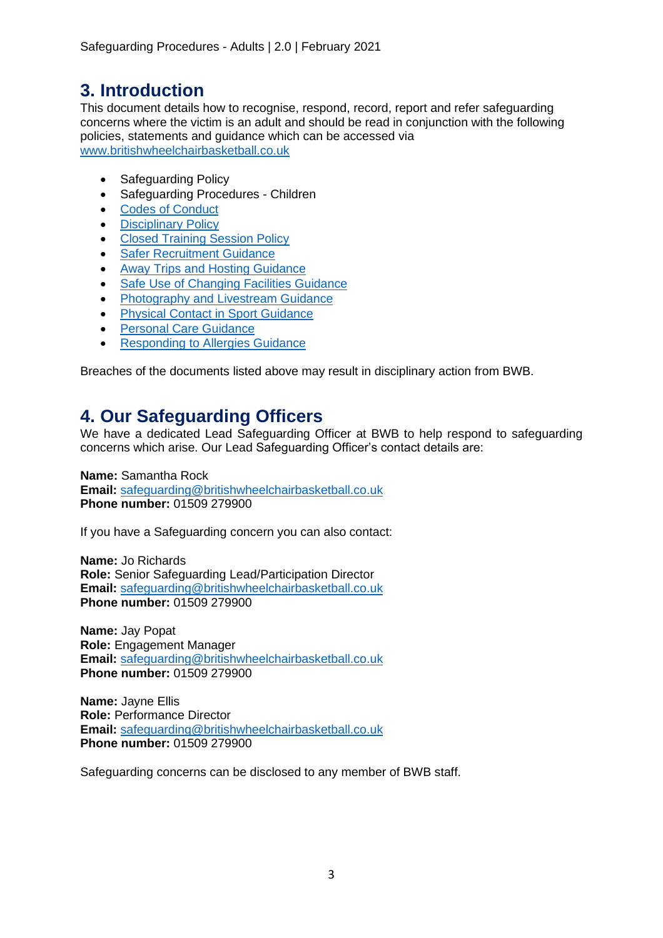# **3. Introduction**

This document details how to recognise, respond, record, report and refer safeguarding concerns where the victim is an adult and should be read in conjunction with the following policies, statements and guidance which can be accessed via [www.britishwheelchairbasketball.co.uk](http://www.britishwheelchairbasketball.co.uk/)

- Safeguarding Policy
- Safeguarding Procedures Children
- [Codes of Conduct](https://britishwheelchairbasketball.co.uk/mdocs-posts/codes-of-conduct/)
- [Disciplinary Policy](https://britishwheelchairbasketball.co.uk/mdocs-posts/disciplinary-policy-2/)
- [Closed Training Session Policy](https://britishwheelchairbasketball.co.uk/mdocs-posts/closed-training-session-policy/)
- [Safer Recruitment Guidance](https://britishwheelchairbasketball.co.uk/mdocs-posts/safer-recruitment/)
- [Away Trips and Hosting Guidance](https://britishwheelchairbasketball.co.uk/mdocs-posts/away-trips-and-hosting/)
- [Safe Use of Changing](https://britishwheelchairbasketball.co.uk/mdocs-posts/safe-use-of-changing-facilities-guidance/) Facilities Guidance
- [Photography and Livestream Guidance](https://britishwheelchairbasketball.co.uk/mdocs-posts/photography-and-live-streaming/)
- [Physical Contact in Sport Guidance](https://britishwheelchairbasketball.co.uk/mdocs-posts/physical-contact-in-sport/)
- [Personal Care Guidance](https://britishwheelchairbasketball.co.uk/mdocs-posts/personal-care/)
- [Responding to Allergies Guidance](https://britishwheelchairbasketball.co.uk/mdocs-posts/responding-to-allergies/)

Breaches of the documents listed above may result in disciplinary action from BWB.

### <span id="page-2-0"></span>**4. Our Safeguarding Officers**

We have a dedicated Lead Safeguarding Officer at BWB to help respond to safeguarding concerns which arise. Our Lead Safeguarding Officer's contact details are:

**Name:** Samantha Rock **Email:** [safeguarding@britishwheelchairbasketball.co.uk](mailto:safeguarding@britishwheelchairbasketball.co.uk) **Phone number:** 01509 279900

If you have a Safeguarding concern you can also contact:

**Name:** Jo Richards **Role:** Senior Safeguarding Lead/Participation Director **Email:** [safeguarding@britishwheelchairbasketball.co.uk](mailto:safeguarding@britishwheelchairbasketball.co.uk) **Phone number:** 01509 279900

**Name:** Jay Popat **Role:** Engagement Manager **Email:** [safeguarding@britishwheelchairbasketball.co.uk](mailto:safeguarding@britishwheelchairbasketball.co.uk) **Phone number:** 01509 279900

**Name:** Jayne Ellis **Role:** Performance Director **Email:** [safeguarding@britishwheelchairbasketball.co.uk](mailto:safeguarding@britishwheelchairbasketball.co.uk) **Phone number:** 01509 279900

Safeguarding concerns can be disclosed to any member of BWB staff.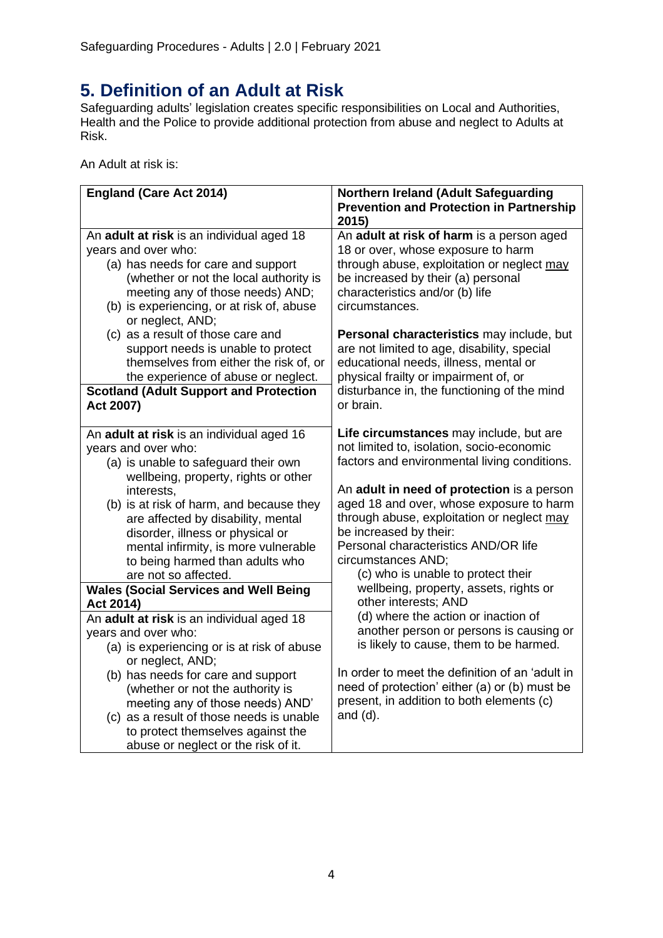# **5. Definition of an Adult at Risk**

Safeguarding adults' legislation creates specific responsibilities on Local and Authorities, Health and the Police to provide additional protection from abuse and neglect to Adults at Risk.

An Adult at risk is:

| <b>England (Care Act 2014)</b>                                                                                                                                                                                                                                                                                                                                           | Northern Ireland (Adult Safeguarding                                                                                                                                                                                                                                                     |
|--------------------------------------------------------------------------------------------------------------------------------------------------------------------------------------------------------------------------------------------------------------------------------------------------------------------------------------------------------------------------|------------------------------------------------------------------------------------------------------------------------------------------------------------------------------------------------------------------------------------------------------------------------------------------|
|                                                                                                                                                                                                                                                                                                                                                                          | <b>Prevention and Protection in Partnership</b><br>2015)                                                                                                                                                                                                                                 |
| An adult at risk is an individual aged 18<br>years and over who:<br>(a) has needs for care and support<br>(whether or not the local authority is<br>meeting any of those needs) AND;<br>(b) is experiencing, or at risk of, abuse<br>or neglect, AND;                                                                                                                    | An adult at risk of harm is a person aged<br>18 or over, whose exposure to harm<br>through abuse, exploitation or neglect may<br>be increased by their (a) personal<br>characteristics and/or (b) life<br>circumstances.                                                                 |
| (c) as a result of those care and<br>support needs is unable to protect<br>themselves from either the risk of, or<br>the experience of abuse or neglect.<br><b>Scotland (Adult Support and Protection</b><br>Act 2007)                                                                                                                                                   | Personal characteristics may include, but<br>are not limited to age, disability, special<br>educational needs, illness, mental or<br>physical frailty or impairment of, or<br>disturbance in, the functioning of the mind<br>or brain.                                                   |
| An adult at risk is an individual aged 16<br>years and over who:<br>(a) is unable to safeguard their own                                                                                                                                                                                                                                                                 | Life circumstances may include, but are<br>not limited to, isolation, socio-economic<br>factors and environmental living conditions.                                                                                                                                                     |
| wellbeing, property, rights or other<br>interests,<br>(b) is at risk of harm, and because they<br>are affected by disability, mental<br>disorder, illness or physical or<br>mental infirmity, is more vulnerable<br>to being harmed than adults who<br>are not so affected.                                                                                              | An adult in need of protection is a person<br>aged 18 and over, whose exposure to harm<br>through abuse, exploitation or neglect may<br>be increased by their:<br>Personal characteristics AND/OR life<br>circumstances AND;<br>(c) who is unable to protect their                       |
| <b>Wales (Social Services and Well Being</b><br>Act 2014)                                                                                                                                                                                                                                                                                                                | wellbeing, property, assets, rights or<br>other interests; AND                                                                                                                                                                                                                           |
| An adult at risk is an individual aged 18<br>years and over who:<br>(a) is experiencing or is at risk of abuse<br>or neglect, AND;<br>(b) has needs for care and support<br>(whether or not the authority is<br>meeting any of those needs) AND'<br>(c) as a result of those needs is unable<br>to protect themselves against the<br>abuse or neglect or the risk of it. | (d) where the action or inaction of<br>another person or persons is causing or<br>is likely to cause, them to be harmed.<br>In order to meet the definition of an 'adult in<br>need of protection' either (a) or (b) must be<br>present, in addition to both elements (c)<br>and $(d)$ . |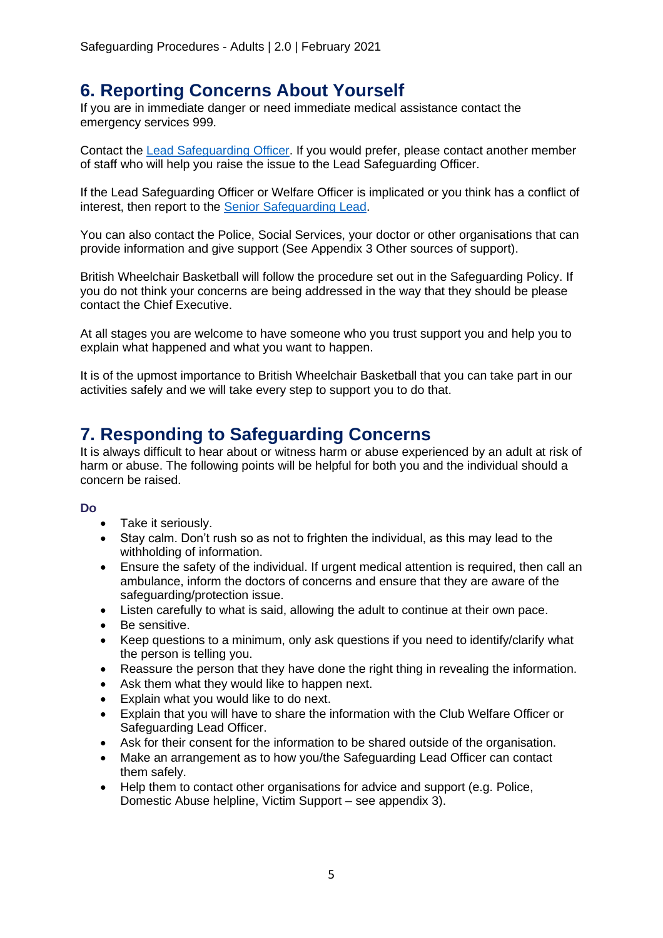# **6. Reporting Concerns About Yourself**

If you are in immediate danger or need immediate medical assistance contact the emergency services 999.

Contact the [Lead Safeguarding Officer.](#page-2-0) If you would prefer, please contact another member of staff who will help you raise the issue to the Lead Safeguarding Officer.

If the Lead Safeguarding Officer or Welfare Officer is implicated or you think has a conflict of interest, then report to the [Senior Safeguarding Lead.](#page-2-0)

You can also contact the Police, Social Services, your doctor or other organisations that can provide information and give support (See Appendix 3 Other sources of support).

British Wheelchair Basketball will follow the procedure set out in the Safeguarding Policy. If you do not think your concerns are being addressed in the way that they should be please contact the Chief Executive.

At all stages you are welcome to have someone who you trust support you and help you to explain what happened and what you want to happen.

It is of the upmost importance to British Wheelchair Basketball that you can take part in our activities safely and we will take every step to support you to do that.

# **7. Responding to Safeguarding Concerns**

It is always difficult to hear about or witness harm or abuse experienced by an adult at risk of harm or abuse. The following points will be helpful for both you and the individual should a concern be raised.

#### **Do**

- Take it seriously.
- Stay calm. Don't rush so as not to frighten the individual, as this may lead to the withholding of information.
- Ensure the safety of the individual. If urgent medical attention is required, then call an ambulance, inform the doctors of concerns and ensure that they are aware of the safeguarding/protection issue.
- Listen carefully to what is said, allowing the adult to continue at their own pace.
- Be sensitive.
- Keep questions to a minimum, only ask questions if you need to identify/clarify what the person is telling you.
- Reassure the person that they have done the right thing in revealing the information.
- Ask them what they would like to happen next.
- Explain what you would like to do next.
- Explain that you will have to share the information with the Club Welfare Officer or Safeguarding Lead Officer.
- Ask for their consent for the information to be shared outside of the organisation.
- Make an arrangement as to how you/the Safeguarding Lead Officer can contact them safely.
- Help them to contact other organisations for advice and support (e.g. Police, Domestic Abuse helpline, Victim Support – see appendix 3).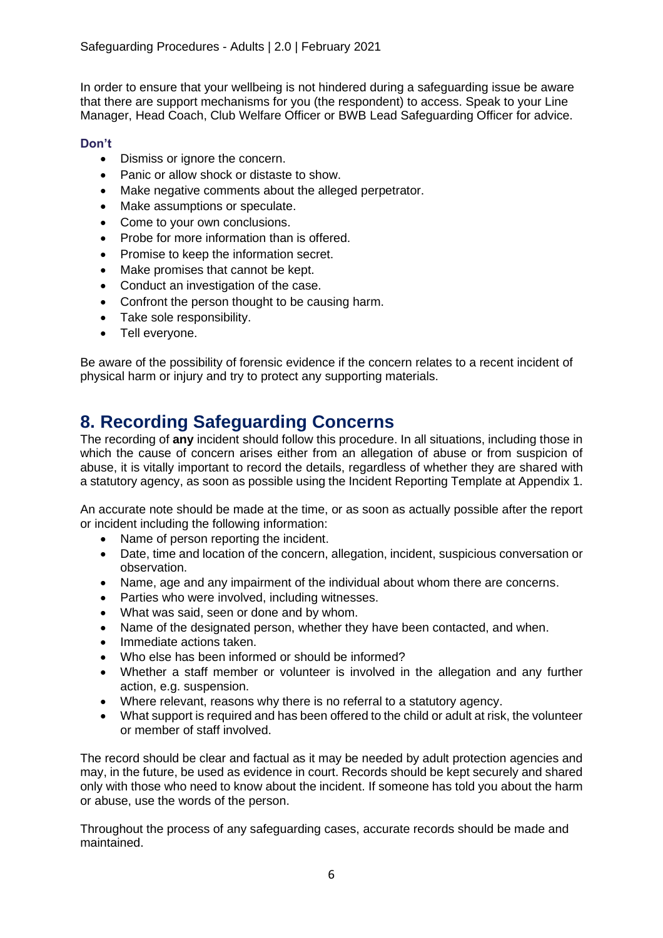In order to ensure that your wellbeing is not hindered during a safeguarding issue be aware that there are support mechanisms for you (the respondent) to access. Speak to your Line Manager, Head Coach, Club Welfare Officer or BWB Lead Safeguarding Officer for advice.

### **Don't**

- Dismiss or ignore the concern.
- Panic or allow shock or distaste to show.
- Make negative comments about the alleged perpetrator.
- Make assumptions or speculate.
- Come to your own conclusions.
- Probe for more information than is offered.
- Promise to keep the information secret.
- Make promises that cannot be kept.
- Conduct an investigation of the case.
- Confront the person thought to be causing harm.
- Take sole responsibility.
- Tell everyone.

Be aware of the possibility of forensic evidence if the concern relates to a recent incident of physical harm or injury and try to protect any supporting materials.

# **8. Recording Safeguarding Concerns**

The recording of **any** incident should follow this procedure. In all situations, including those in which the cause of concern arises either from an allegation of abuse or from suspicion of abuse, it is vitally important to record the details, regardless of whether they are shared with a statutory agency, as soon as possible using the Incident Reporting Template at Appendix 1.

An accurate note should be made at the time, or as soon as actually possible after the report or incident including the following information:

- Name of person reporting the incident.
- Date, time and location of the concern, allegation, incident, suspicious conversation or observation.
- Name, age and any impairment of the individual about whom there are concerns.
- Parties who were involved, including witnesses.
- What was said, seen or done and by whom.
- Name of the designated person, whether they have been contacted, and when.
- Immediate actions taken.
- Who else has been informed or should be informed?
- Whether a staff member or volunteer is involved in the allegation and any further action, e.g. suspension.
- Where relevant, reasons why there is no referral to a statutory agency.
- What support is required and has been offered to the child or adult at risk, the volunteer or member of staff involved.

The record should be clear and factual as it may be needed by adult protection agencies and may, in the future, be used as evidence in court. Records should be kept securely and shared only with those who need to know about the incident. If someone has told you about the harm or abuse, use the words of the person.

Throughout the process of any safeguarding cases, accurate records should be made and maintained.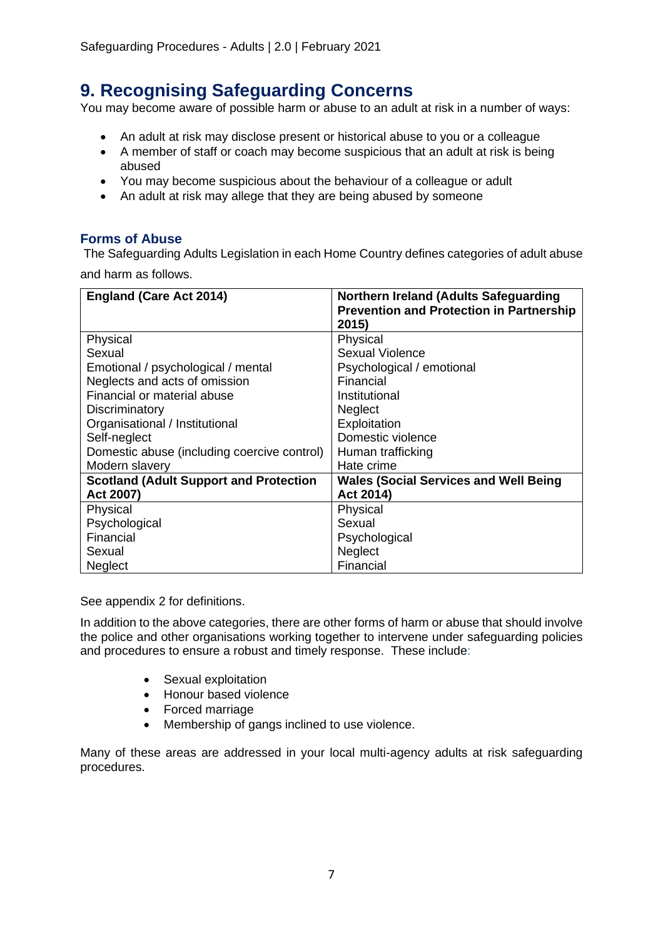# **9. Recognising Safeguarding Concerns**

You may become aware of possible harm or abuse to an adult at risk in a number of ways:

- An adult at risk may disclose present or historical abuse to you or a colleague
- A member of staff or coach may become suspicious that an adult at risk is being abused
- You may become suspicious about the behaviour of a colleague or adult
- An adult at risk may allege that they are being abused by someone

### **Forms of Abuse**

The Safeguarding Adults Legislation in each Home Country defines categories of adult abuse and harm as follows.

| <b>England (Care Act 2014)</b>                | <b>Northern Ireland (Adults Safeguarding</b><br><b>Prevention and Protection in Partnership</b> |
|-----------------------------------------------|-------------------------------------------------------------------------------------------------|
|                                               | 2015)                                                                                           |
| Physical                                      | Physical                                                                                        |
| Sexual                                        | <b>Sexual Violence</b>                                                                          |
| Emotional / psychological / mental            | Psychological / emotional                                                                       |
| Neglects and acts of omission                 | Financial                                                                                       |
| Financial or material abuse                   | Institutional                                                                                   |
| Discriminatory                                | <b>Neglect</b>                                                                                  |
| Organisational / Institutional                | Exploitation                                                                                    |
| Self-neglect                                  | Domestic violence                                                                               |
| Domestic abuse (including coercive control)   | Human trafficking                                                                               |
| Modern slavery                                | Hate crime                                                                                      |
| <b>Scotland (Adult Support and Protection</b> | <b>Wales (Social Services and Well Being</b>                                                    |
| Act 2007)                                     | Act 2014)                                                                                       |
| Physical                                      | Physical                                                                                        |
| Psychological                                 | Sexual                                                                                          |
| Financial                                     | Psychological                                                                                   |
| Sexual                                        | <b>Neglect</b>                                                                                  |
| <b>Neglect</b>                                | Financial                                                                                       |

See appendix 2 for definitions.

In addition to the above categories, there are other forms of harm or abuse that should involve the police and other organisations working together to intervene under safeguarding policies and procedures to ensure a robust and timely response. These include:

- Sexual exploitation
- Honour based violence
- Forced marriage
- Membership of gangs inclined to use violence.

Many of these areas are addressed in your local multi-agency adults at risk safeguarding procedures.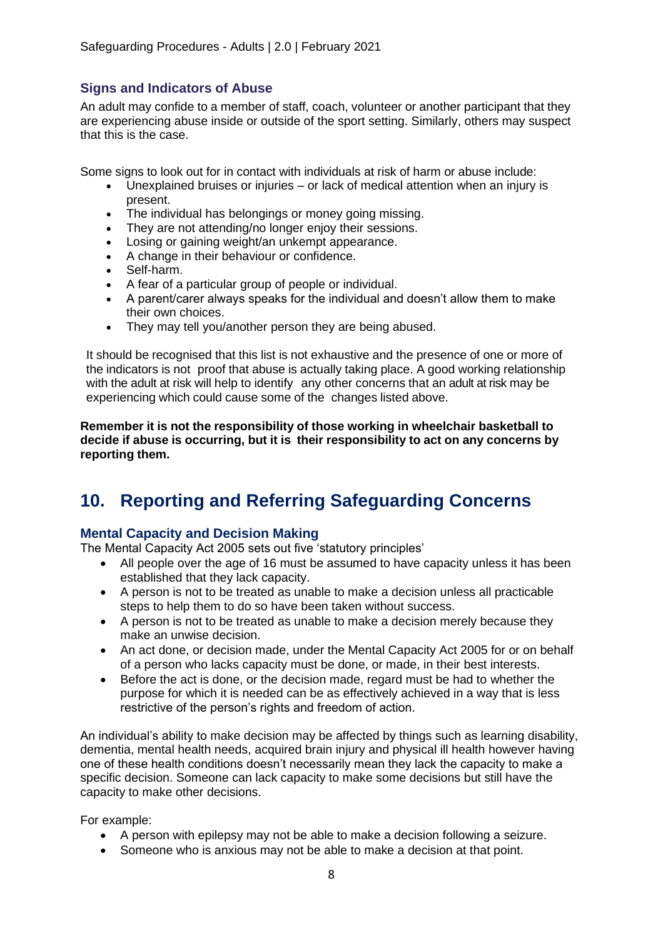### **Signs and Indicators of Abuse**

An adult may confide to a member of staff, coach, volunteer or another participant that they are experiencing abuse inside or outside of the sport setting. Similarly, others may suspect that this is the case.

Some signs to look out for in contact with individuals at risk of harm or abuse include:

- Unexplained bruises or injuries or lack of medical attention when an injury is present.
- The individual has belongings or money going missing.
- They are not attending/no longer enjoy their sessions.
- Losing or gaining weight/an unkempt appearance.
- A change in their behaviour or confidence.
- Self-harm.
- A fear of a particular group of people or individual.
- A parent/carer always speaks for the individual and doesn't allow them to make their own choices.
- They may tell you/another person they are being abused.

It should be recognised that this list is not exhaustive and the presence of one or more of the indicators is not proof that abuse is actually taking place. A good working relationship with the adult at risk will help to identify any other concerns that an adult at risk may be experiencing which could cause some of the changes listed above.

**Remember it is not the responsibility of those working in wheelchair basketball to decide if abuse is occurring, but it is their responsibility to act on any concerns by reporting them.**

# **10. Reporting and Referring Safeguarding Concerns**

### **Mental Capacity and Decision Making**

The Mental Capacity Act 2005 sets out five 'statutory principles'

- All people over the age of 16 must be assumed to have capacity unless it has been established that they lack capacity.
- A person is not to be treated as unable to make a decision unless all practicable steps to help them to do so have been taken without success.
- A person is not to be treated as unable to make a decision merely because they make an unwise decision.
- An act done, or decision made, under the Mental Capacity Act 2005 for or on behalf of a person who lacks capacity must be done, or made, in their best interests.
- Before the act is done, or the decision made, regard must be had to whether the purpose for which it is needed can be as effectively achieved in a way that is less restrictive of the person's rights and freedom of action.

An individual's ability to make decision may be affected by things such as learning disability, dementia, mental health needs, acquired brain injury and physical ill health however having one of these health conditions doesn't necessarily mean they lack the capacity to make a specific decision. Someone can lack capacity to make some decisions but still have the capacity to make other decisions.

For example:

- A person with epilepsy may not be able to make a decision following a seizure.
- Someone who is anxious may not be able to make a decision at that point.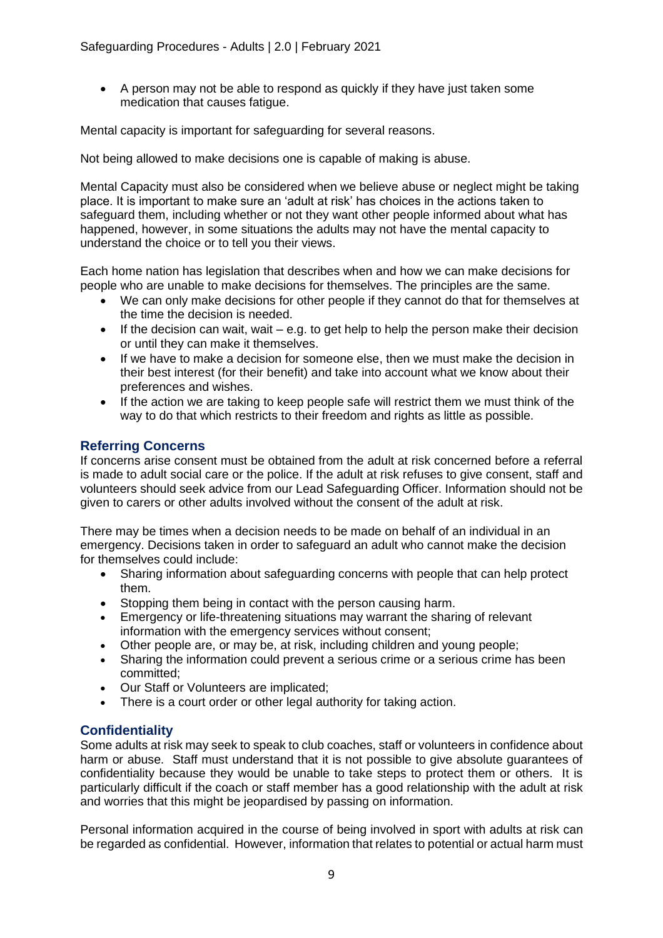• A person may not be able to respond as quickly if they have just taken some medication that causes fatigue.

Mental capacity is important for safeguarding for several reasons.

Not being allowed to make decisions one is capable of making is abuse.

Mental Capacity must also be considered when we believe abuse or neglect might be taking place. It is important to make sure an 'adult at risk' has choices in the actions taken to safeguard them, including whether or not they want other people informed about what has happened, however, in some situations the adults may not have the mental capacity to understand the choice or to tell you their views.

Each home nation has legislation that describes when and how we can make decisions for people who are unable to make decisions for themselves. The principles are the same.

- We can only make decisions for other people if they cannot do that for themselves at the time the decision is needed.
- If the decision can wait, wait e.g. to get help to help the person make their decision or until they can make it themselves.
- If we have to make a decision for someone else, then we must make the decision in their best interest (for their benefit) and take into account what we know about their preferences and wishes.
- If the action we are taking to keep people safe will restrict them we must think of the way to do that which restricts to their freedom and rights as little as possible.

### **Referring Concerns**

If concerns arise consent must be obtained from the adult at risk concerned before a referral is made to adult social care or the police. If the adult at risk refuses to give consent, staff and volunteers should seek advice from our Lead Safeguarding Officer. Information should not be given to carers or other adults involved without the consent of the adult at risk.

There may be times when a decision needs to be made on behalf of an individual in an emergency. Decisions taken in order to safeguard an adult who cannot make the decision for themselves could include:

- Sharing information about safeguarding concerns with people that can help protect them.
- Stopping them being in contact with the person causing harm.
- Emergency or life-threatening situations may warrant the sharing of relevant information with the emergency services without consent;
- Other people are, or may be, at risk, including children and young people;
- Sharing the information could prevent a serious crime or a serious crime has been committed;
- Our Staff or Volunteers are implicated;
- There is a court order or other legal authority for taking action.

### **Confidentiality**

Some adults at risk may seek to speak to club coaches, staff or volunteers in confidence about harm or abuse. Staff must understand that it is not possible to give absolute guarantees of confidentiality because they would be unable to take steps to protect them or others. It is particularly difficult if the coach or staff member has a good relationship with the adult at risk and worries that this might be jeopardised by passing on information.

Personal information acquired in the course of being involved in sport with adults at risk can be regarded as confidential. However, information that relates to potential or actual harm must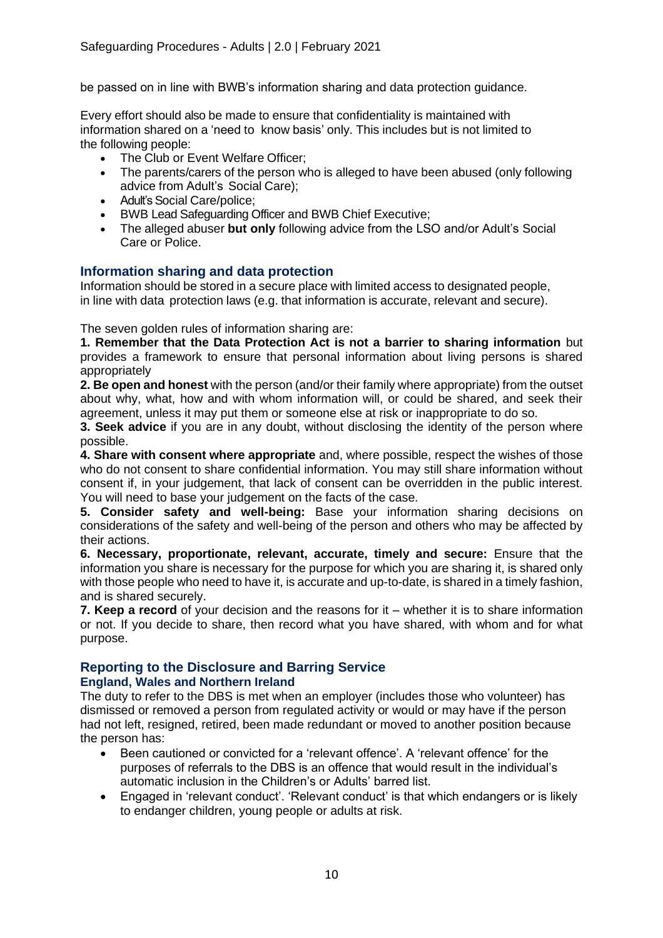be passed on in line with BWB's information sharing and data protection guidance.

Every effort should also be made to ensure that confidentiality is maintained with information shared on a 'need to know basis' only. This includes but is not limited to the following people:

- The Club or Event Welfare Officer;
- The parents/carers of the person who is alleged to have been abused (only following advice from Adult's Social Care);
- Adult's Social Care/police;
- BWB Lead Safeguarding Officer and BWB Chief Executive;
- The alleged abuser **but only** following advice from the LSO and/or Adult's Social Care or Police.

### **Information sharing and data protection**

Information should be stored in a secure place with limited access to designated people, in line with data protection laws (e.g. that information is accurate, relevant and secure).

The seven golden rules of information sharing are:

**1. Remember that the Data Protection Act is not a barrier to sharing information** but provides a framework to ensure that personal information about living persons is shared appropriately

**2. Be open and honest** with the person (and/or their family where appropriate) from the outset about why, what, how and with whom information will, or could be shared, and seek their agreement, unless it may put them or someone else at risk or inappropriate to do so.

**3. Seek advice** if you are in any doubt, without disclosing the identity of the person where possible.

**4. Share with consent where appropriate** and, where possible, respect the wishes of those who do not consent to share confidential information. You may still share information without consent if, in your judgement, that lack of consent can be overridden in the public interest. You will need to base your judgement on the facts of the case.

**5. Consider safety and well-being:** Base your information sharing decisions on considerations of the safety and well-being of the person and others who may be affected by their actions.

**6. Necessary, proportionate, relevant, accurate, timely and secure:** Ensure that the information you share is necessary for the purpose for which you are sharing it, is shared only with those people who need to have it, is accurate and up-to-date, is shared in a timely fashion, and is shared securely.

**7. Keep a record** of your decision and the reasons for it – whether it is to share information or not. If you decide to share, then record what you have shared, with whom and for what purpose.

### **Reporting to the Disclosure and Barring Service**

#### **England, Wales and Northern Ireland**

The duty to refer to the DBS is met when an employer (includes those who volunteer) has dismissed or removed a person from regulated activity or would or may have if the person had not left, resigned, retired, been made redundant or moved to another position because the person has:

- Been cautioned or convicted for a 'relevant offence'. A 'relevant offence' for the purposes of referrals to the DBS is an offence that would result in the individual's automatic inclusion in the Children's or Adults' barred list.
- Engaged in 'relevant conduct'. 'Relevant conduct' is that which endangers or is likely to endanger children, young people or adults at risk.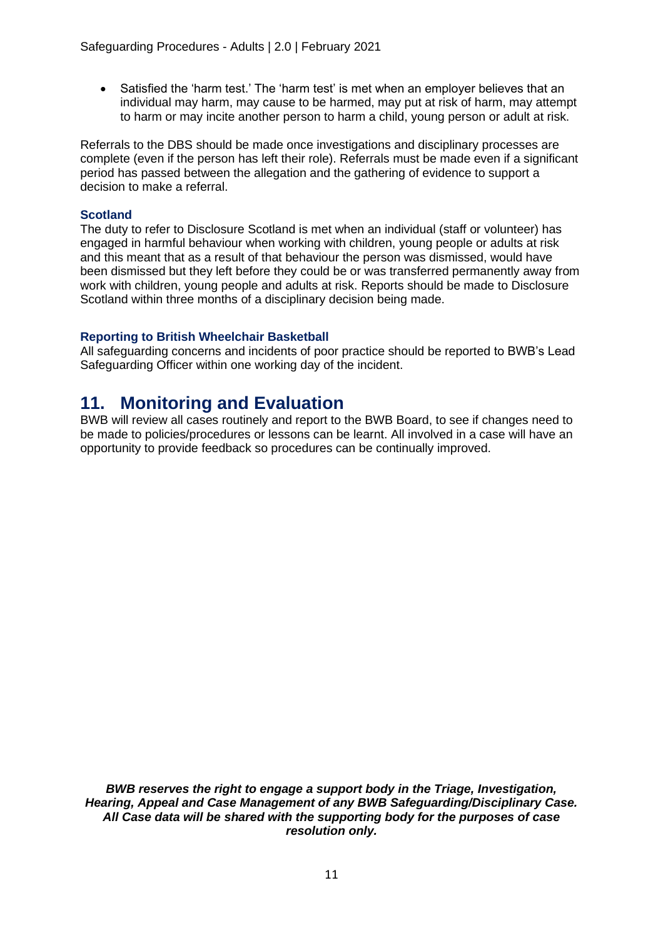• Satisfied the 'harm test.' The 'harm test' is met when an employer believes that an individual may harm, may cause to be harmed, may put at risk of harm, may attempt to harm or may incite another person to harm a child, young person or adult at risk.

Referrals to the DBS should be made once investigations and disciplinary processes are complete (even if the person has left their role). Referrals must be made even if a significant period has passed between the allegation and the gathering of evidence to support a decision to make a referral.

#### **Scotland**

The duty to refer to Disclosure Scotland is met when an individual (staff or volunteer) has engaged in harmful behaviour when working with children, young people or adults at risk and this meant that as a result of that behaviour the person was dismissed, would have been dismissed but they left before they could be or was transferred permanently away from work with children, young people and adults at risk. Reports should be made to Disclosure Scotland within three months of a disciplinary decision being made.

#### **Reporting to British Wheelchair Basketball**

All safeguarding concerns and incidents of poor practice should be reported to BWB's Lead Safeguarding Officer within one working day of the incident.

### **11. Monitoring and Evaluation**

BWB will review all cases routinely and report to the BWB Board, to see if changes need to be made to policies/procedures or lessons can be learnt. All involved in a case will have an opportunity to provide feedback so procedures can be continually improved.

*BWB reserves the right to engage a support body in the Triage, Investigation, Hearing, Appeal and Case Management of any BWB Safeguarding/Disciplinary Case. All Case data will be shared with the supporting body for the purposes of case resolution only.*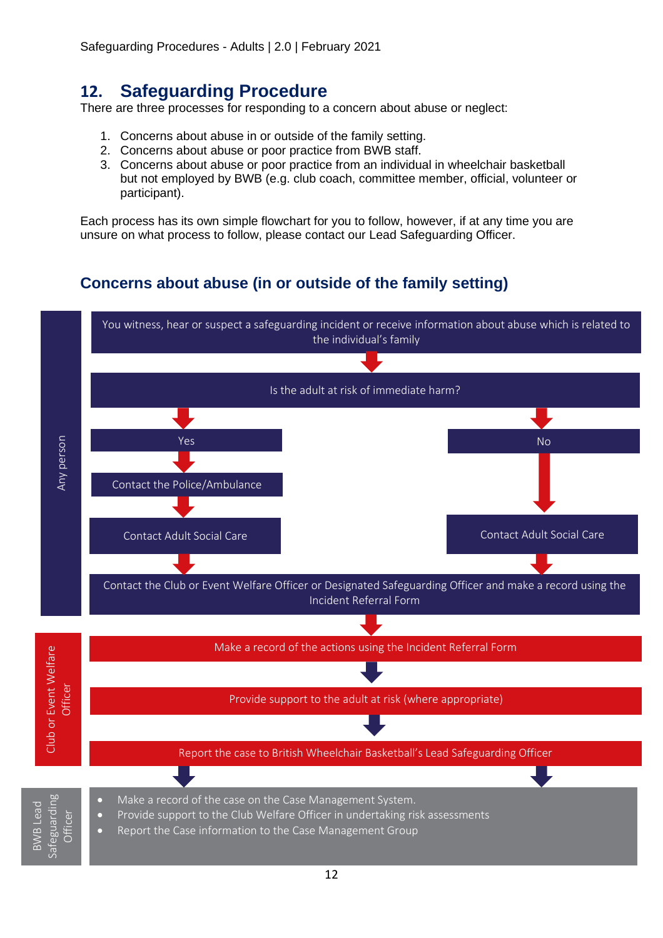# **12. Safeguarding Procedure**

There are three processes for responding to a concern about abuse or neglect:

- 1. Concerns about abuse in or outside of the family setting.
- 2. Concerns about abuse or poor practice from BWB staff.
- 3. Concerns about abuse or poor practice from an individual in wheelchair basketball but not employed by BWB (e.g. club coach, committee member, official, volunteer or participant).

Each process has its own simple flowchart for you to follow, however, if at any time you are unsure on what process to follow, please contact our Lead Safeguarding Officer.

# **Concerns about abuse (in or outside of the family setting)**

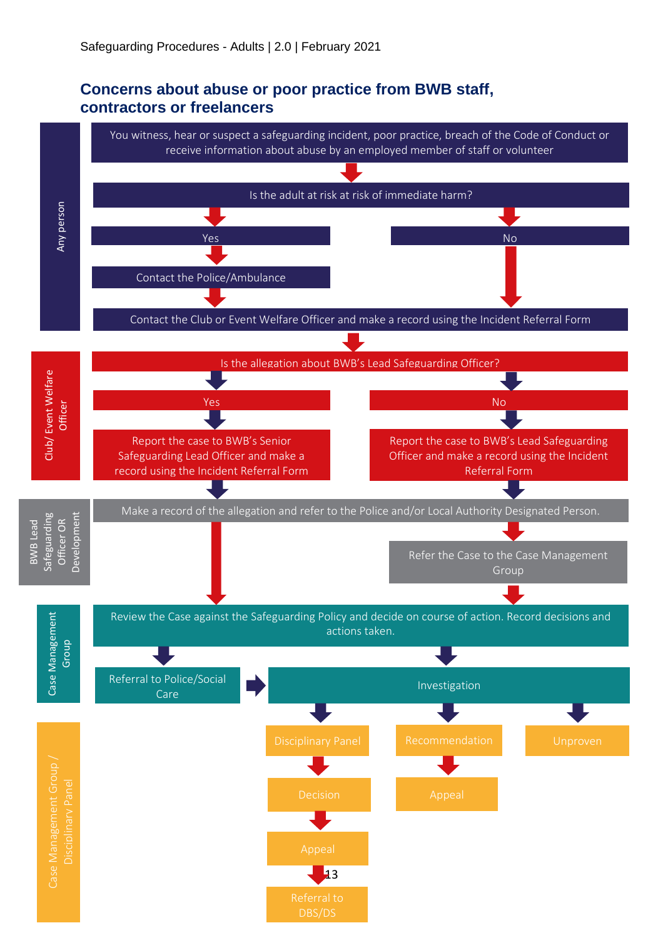### **Concerns about abuse or poor practice from BWB staff, contractors or freelancers**

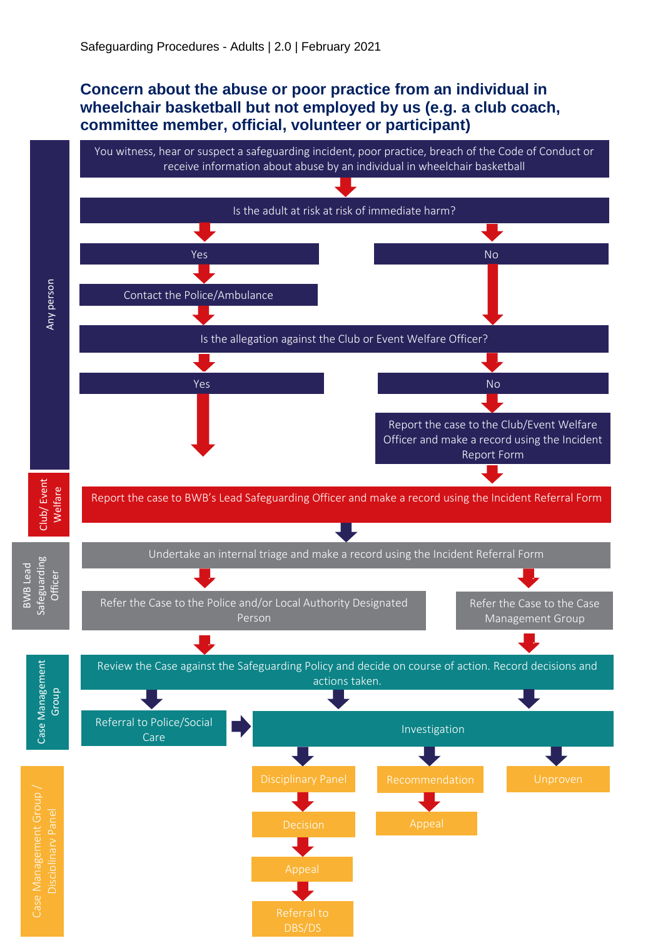### **Concern about the abuse or poor practice from an individual in wheelchair basketball but not employed by us (e.g. a club coach, committee member, official, volunteer or participant)**

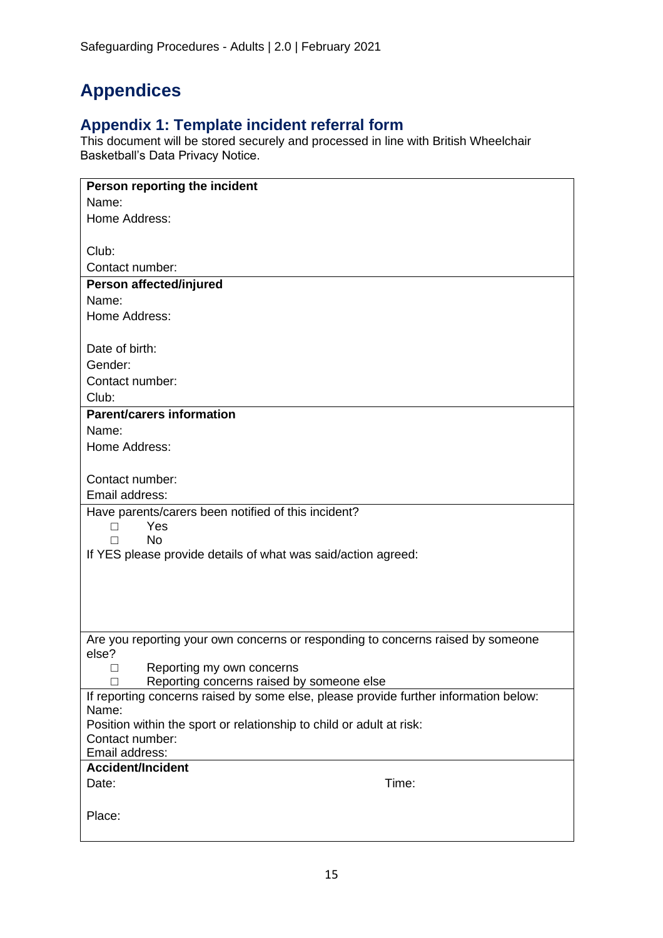# **Appendices**

### **Appendix 1: Template incident referral form**

This document will be stored securely and processed in line with British Wheelchair Basketball's Data Privacy Notice.

| Person reporting the incident                                                            |
|------------------------------------------------------------------------------------------|
| Name:                                                                                    |
| Home Address:                                                                            |
|                                                                                          |
| Club:                                                                                    |
| Contact number:                                                                          |
| Person affected/injured                                                                  |
| Name:                                                                                    |
| Home Address:                                                                            |
|                                                                                          |
| Date of birth:                                                                           |
| Gender:                                                                                  |
| Contact number:<br>Club:                                                                 |
| <b>Parent/carers information</b>                                                         |
| Name:                                                                                    |
| Home Address:                                                                            |
|                                                                                          |
| Contact number:                                                                          |
| Email address:                                                                           |
| Have parents/carers been notified of this incident?                                      |
| Yes<br>П                                                                                 |
| <b>No</b><br>П                                                                           |
| If YES please provide details of what was said/action agreed:                            |
|                                                                                          |
|                                                                                          |
|                                                                                          |
|                                                                                          |
| Are you reporting your own concerns or responding to concerns raised by someone<br>else? |
| Reporting my own concerns<br>□                                                           |
| Reporting concerns raised by someone else<br>П                                           |
| If reporting concerns raised by some else, please provide further information below:     |
| Name:                                                                                    |
| Position within the sport or relationship to child or adult at risk:                     |
| Contact number:                                                                          |
| Email address:                                                                           |
| <b>Accident/Incident</b><br>Time:                                                        |
| Date:                                                                                    |
| Place:                                                                                   |
|                                                                                          |
|                                                                                          |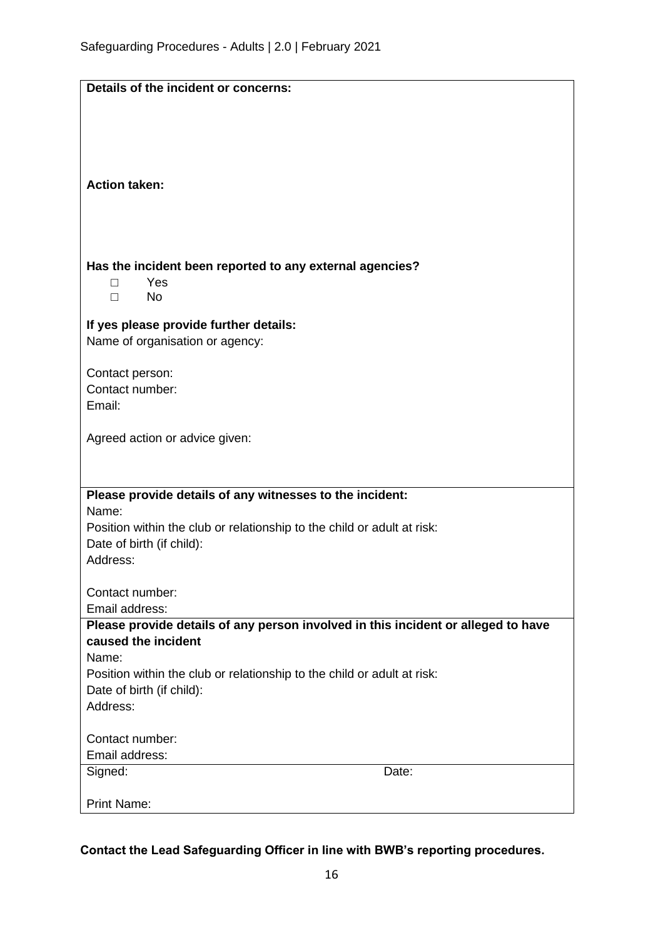| Details of the incident or concerns:                                                                     |       |
|----------------------------------------------------------------------------------------------------------|-------|
|                                                                                                          |       |
|                                                                                                          |       |
|                                                                                                          |       |
|                                                                                                          |       |
| <b>Action taken:</b>                                                                                     |       |
|                                                                                                          |       |
|                                                                                                          |       |
|                                                                                                          |       |
|                                                                                                          |       |
| Has the incident been reported to any external agencies?                                                 |       |
| Yes<br>П                                                                                                 |       |
| <b>No</b><br>П                                                                                           |       |
|                                                                                                          |       |
| If yes please provide further details:                                                                   |       |
| Name of organisation or agency:                                                                          |       |
|                                                                                                          |       |
| Contact person:                                                                                          |       |
| Contact number:                                                                                          |       |
| Email:                                                                                                   |       |
|                                                                                                          |       |
| Agreed action or advice given:                                                                           |       |
|                                                                                                          |       |
|                                                                                                          |       |
| Please provide details of any witnesses to the incident:                                                 |       |
| Name:                                                                                                    |       |
| Position within the club or relationship to the child or adult at risk:                                  |       |
| Date of birth (if child):                                                                                |       |
| Address:                                                                                                 |       |
|                                                                                                          |       |
| Contact number:                                                                                          |       |
| Email address:                                                                                           |       |
| Please provide details of any person involved in this incident or alleged to have<br>caused the incident |       |
| Name:                                                                                                    |       |
| Position within the club or relationship to the child or adult at risk:                                  |       |
| Date of birth (if child):                                                                                |       |
| Address:                                                                                                 |       |
|                                                                                                          |       |
| Contact number:                                                                                          |       |
| Email address:                                                                                           |       |
| Signed:                                                                                                  | Date: |
|                                                                                                          |       |
| <b>Print Name:</b>                                                                                       |       |

**Contact the Lead Safeguarding Officer in line with BWB's reporting procedures.**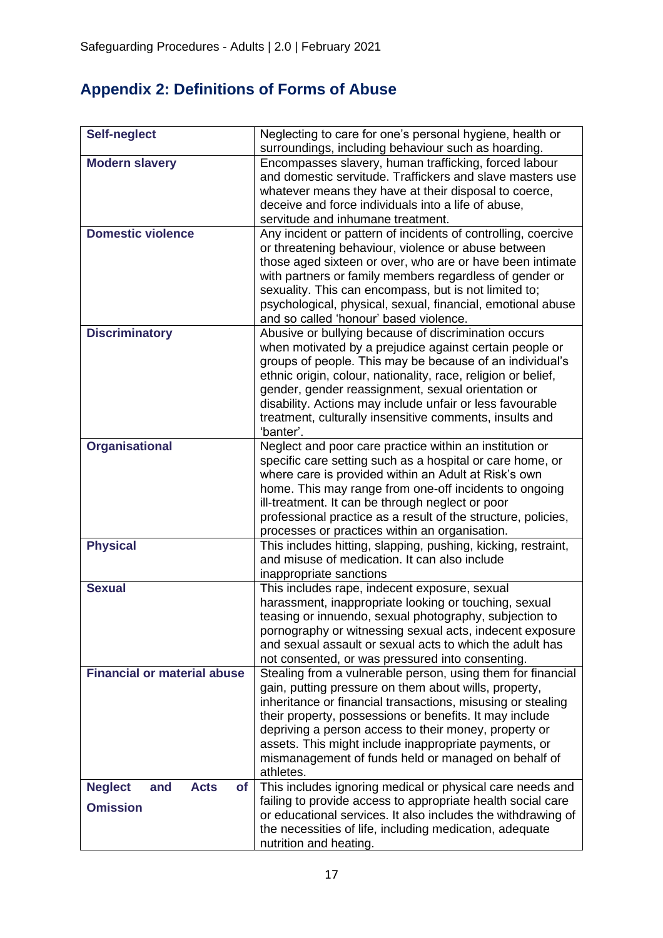# **Appendix 2: Definitions of Forms of Abuse**

| <b>Self-neglect</b>                                                  | Neglecting to care for one's personal hygiene, health or<br>surroundings, including behaviour such as hoarding.                                                                                                                                                                                                                                                                                                                         |
|----------------------------------------------------------------------|-----------------------------------------------------------------------------------------------------------------------------------------------------------------------------------------------------------------------------------------------------------------------------------------------------------------------------------------------------------------------------------------------------------------------------------------|
| <b>Modern slavery</b>                                                | Encompasses slavery, human trafficking, forced labour<br>and domestic servitude. Traffickers and slave masters use<br>whatever means they have at their disposal to coerce,<br>deceive and force individuals into a life of abuse,<br>servitude and inhumane treatment.                                                                                                                                                                 |
| <b>Domestic violence</b>                                             | Any incident or pattern of incidents of controlling, coercive<br>or threatening behaviour, violence or abuse between<br>those aged sixteen or over, who are or have been intimate<br>with partners or family members regardless of gender or<br>sexuality. This can encompass, but is not limited to;<br>psychological, physical, sexual, financial, emotional abuse<br>and so called 'honour' based violence.                          |
| <b>Discriminatory</b>                                                | Abusive or bullying because of discrimination occurs<br>when motivated by a prejudice against certain people or<br>groups of people. This may be because of an individual's<br>ethnic origin, colour, nationality, race, religion or belief,<br>gender, gender reassignment, sexual orientation or<br>disability. Actions may include unfair or less favourable<br>treatment, culturally insensitive comments, insults and<br>'banter'. |
| <b>Organisational</b>                                                | Neglect and poor care practice within an institution or<br>specific care setting such as a hospital or care home, or<br>where care is provided within an Adult at Risk's own<br>home. This may range from one-off incidents to ongoing<br>ill-treatment. It can be through neglect or poor<br>professional practice as a result of the structure, policies,<br>processes or practices within an organisation.                           |
| <b>Physical</b>                                                      | This includes hitting, slapping, pushing, kicking, restraint,<br>and misuse of medication. It can also include<br>inappropriate sanctions                                                                                                                                                                                                                                                                                               |
| <b>Sexual</b>                                                        | This includes rape, indecent exposure, sexual<br>harassment, inappropriate looking or touching, sexual<br>teasing or innuendo, sexual photography, subjection to<br>pornography or witnessing sexual acts, indecent exposure<br>and sexual assault or sexual acts to which the adult has<br>not consented, or was pressured into consenting.                                                                                            |
| <b>Financial or material abuse</b>                                   | Stealing from a vulnerable person, using them for financial<br>gain, putting pressure on them about wills, property,<br>inheritance or financial transactions, misusing or stealing<br>their property, possessions or benefits. It may include<br>depriving a person access to their money, property or<br>assets. This might include inappropriate payments, or<br>mismanagement of funds held or managed on behalf of<br>athletes.    |
| <b>Neglect</b><br><b>Acts</b><br>and<br><b>of</b><br><b>Omission</b> | This includes ignoring medical or physical care needs and<br>failing to provide access to appropriate health social care<br>or educational services. It also includes the withdrawing of<br>the necessities of life, including medication, adequate<br>nutrition and heating.                                                                                                                                                           |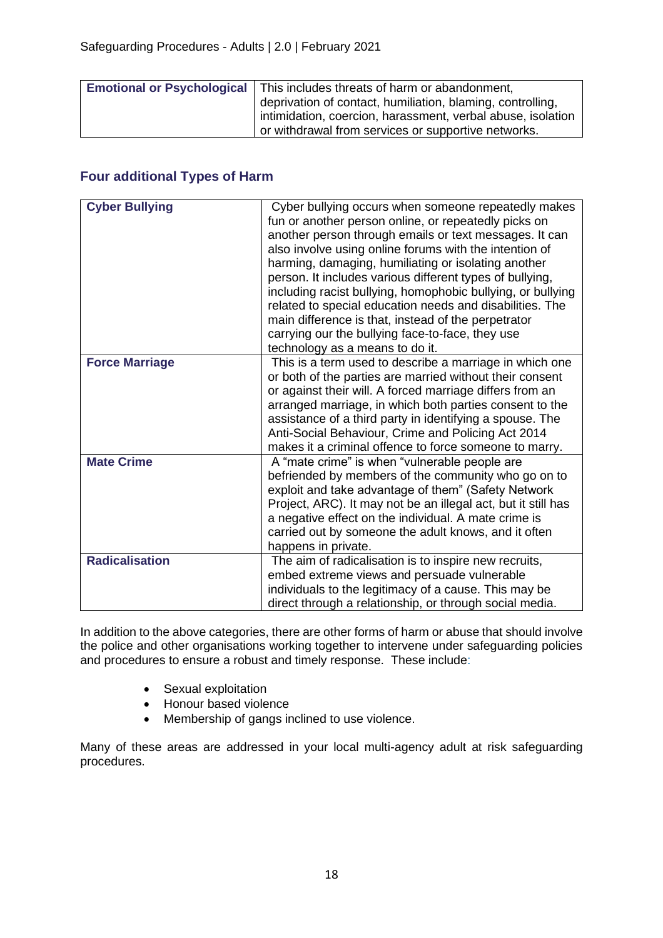| <b>Emotional or Psychological</b> | This includes threats of harm or abandonment,               |
|-----------------------------------|-------------------------------------------------------------|
|                                   | deprivation of contact, humiliation, blaming, controlling,  |
|                                   | intimidation, coercion, harassment, verbal abuse, isolation |
|                                   | I or withdrawal from services or supportive networks.       |

### **Four additional Types of Harm**

| <b>Cyber Bullying</b> | Cyber bullying occurs when someone repeatedly makes<br>fun or another person online, or repeatedly picks on<br>another person through emails or text messages. It can<br>also involve using online forums with the intention of<br>harming, damaging, humiliating or isolating another<br>person. It includes various different types of bullying,<br>including racist bullying, homophobic bullying, or bullying<br>related to special education needs and disabilities. The<br>main difference is that, instead of the perpetrator<br>carrying our the bullying face-to-face, they use<br>technology as a means to do it. |
|-----------------------|-----------------------------------------------------------------------------------------------------------------------------------------------------------------------------------------------------------------------------------------------------------------------------------------------------------------------------------------------------------------------------------------------------------------------------------------------------------------------------------------------------------------------------------------------------------------------------------------------------------------------------|
| <b>Force Marriage</b> | This is a term used to describe a marriage in which one<br>or both of the parties are married without their consent<br>or against their will. A forced marriage differs from an<br>arranged marriage, in which both parties consent to the<br>assistance of a third party in identifying a spouse. The<br>Anti-Social Behaviour, Crime and Policing Act 2014<br>makes it a criminal offence to force someone to marry.                                                                                                                                                                                                      |
| <b>Mate Crime</b>     | A "mate crime" is when "vulnerable people are<br>befriended by members of the community who go on to<br>exploit and take advantage of them" (Safety Network<br>Project, ARC). It may not be an illegal act, but it still has<br>a negative effect on the individual. A mate crime is<br>carried out by someone the adult knows, and it often<br>happens in private.                                                                                                                                                                                                                                                         |
| <b>Radicalisation</b> | The aim of radicalisation is to inspire new recruits,<br>embed extreme views and persuade vulnerable<br>individuals to the legitimacy of a cause. This may be<br>direct through a relationship, or through social media.                                                                                                                                                                                                                                                                                                                                                                                                    |

In addition to the above categories, there are other forms of harm or abuse that should involve the police and other organisations working together to intervene under safeguarding policies and procedures to ensure a robust and timely response. These include:

- Sexual exploitation
- Honour based violence
- Membership of gangs inclined to use violence.

Many of these areas are addressed in your local multi-agency adult at risk safeguarding procedures.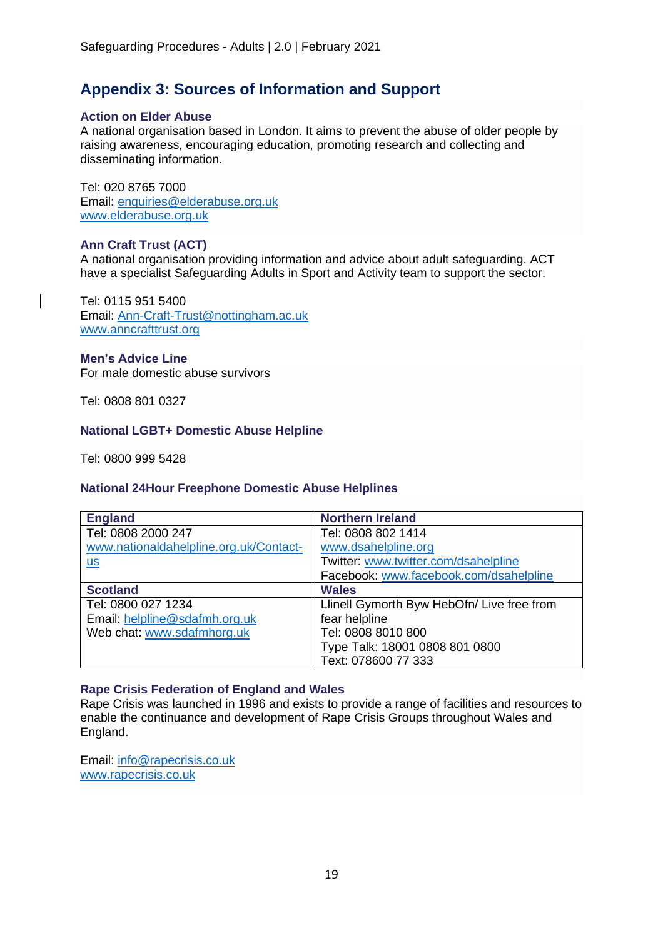### **Appendix 3: Sources of Information and Support**

#### **Action on Elder Abuse**

A national organisation based in London. It aims to prevent the abuse of older people by raising awareness, encouraging education, promoting research and collecting and disseminating information.

Tel: 020 8765 7000 Email: [enquiries@elderabuse.org.uk](mailto:enquiries@elderabuse.org.uk) [www.elderabuse.org.uk](http://www.elderabuse.org.uk/)

#### **Ann Craft Trust (ACT)**

A national organisation providing information and advice about adult safeguarding. ACT have a specialist Safeguarding Adults in Sport and Activity team to support the sector.

Tel: 0115 951 5400 Email: [Ann-Craft-Trust@nottingham.ac.uk](mailto:Ann-Craft-Trust@nottingham.ac.uk) [www.anncrafttrust.org](http://www.anncrafttrust.org/)

#### **Men's Advice Line**

For male domestic abuse survivors

Tel: 0808 801 0327

#### **National LGBT+ Domestic Abuse Helpline**

Tel: 0800 999 5428

#### **National 24Hour Freephone Domestic Abuse Helplines**

| <b>England</b>                         | <b>Northern Ireland</b>                    |
|----------------------------------------|--------------------------------------------|
| Tel: 0808 2000 247                     | Tel: 0808 802 1414                         |
| www.nationaldahelpline.org.uk/Contact- | www.dsahelpline.org                        |
| $\underline{\mathsf{u}\mathsf{s}}$     | Twitter: www.twitter.com/dsahelpline       |
|                                        | Facebook: www.facebook.com/dsahelpline     |
| <b>Scotland</b>                        | <b>Wales</b>                               |
| Tel: 0800 027 1234                     | Llinell Gymorth Byw HebOfn/ Live free from |
| Email: helpline@sdafmh.org.uk          | fear helpline                              |
| Web chat: www.sdafmhorg.uk             | Tel: 0808 8010 800                         |
|                                        | Type Talk: 18001 0808 801 0800             |
|                                        | Text: 078600 77 333                        |

#### **Rape Crisis Federation of England and Wales**

Rape Crisis was launched in 1996 and exists to provide a range of facilities and resources to enable the continuance and development of Rape Crisis Groups throughout Wales and England.

Email: [info@rapecrisis.co.uk](mailto:info@rapecrisis.co.uk) [www.rapecrisis.co.uk](http://www.rapecrisis.co.uk/)